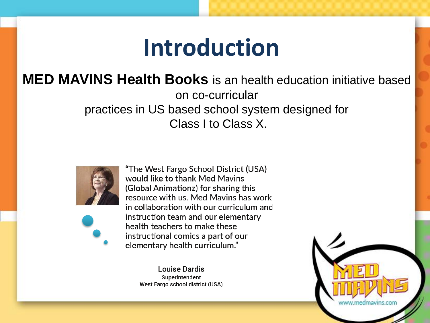## **Introduction**

#### **MED MAVINS Health Books** is an health education initiative based

on co-curricular practices in US based school system designed for Class I to Class X.





"The West Fargo School District (USA) would like to thank Med Mavins (Global Animationz) for sharing this resource with us. Med Mavins has work in collaboration with our curriculum and instruction team and our elementary health teachers to make these instructional comics a part of our elementary health curriculum."

**Louise Dardis** Superintendent West Fargo school district (USA)

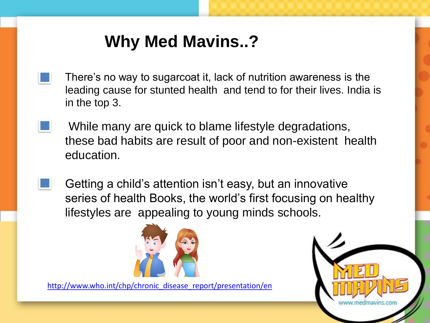### **Why Med Mavins..?**

- There's no way to sugarcoat it, lack of nutrition awareness is the leading cause for stunted health and tend to for their lives. India is in the top 3.
	- While many are quick to blame lifestyle degradations, these bad habits are result of poor and non-existent health education.
- Getting a child's attention isn't easy, but an innovative series of health Books, the world's first focusing on healthy lifestyles are appealing to young minds schools.



[http://www.who.int/chp/chronic\\_disease\\_report/presentation/en](http://www.who.int/chp/chronic_disease_report/presentation/en)

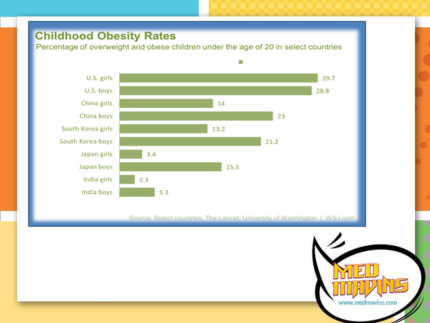#### **Childhood Obesity Rates**

Percentage of overweight and obese children under the age of 20 in select countries



Source: Select countries; The Lancet, University of Washington | WSJ.com

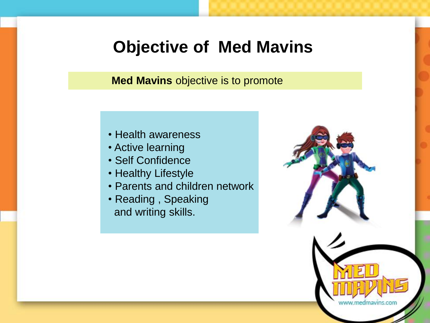#### **Objective of Med Mavins**

**Med Mavins** objective is to promote

- Health awareness
- Active learning
- Self Confidence
- Healthy Lifestyle
- Parents and children network
- Reading , Speaking and writing skills.

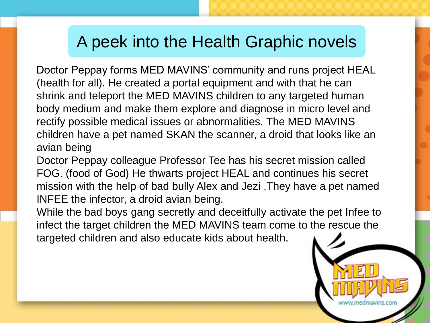#### A peek into the Health Graphic novels

Doctor Peppay forms MED MAVINS' community and runs project HEAL (health for all). He created a portal equipment and with that he can shrink and teleport the MED MAVINS children to any targeted human body medium and make them explore and diagnose in micro level and rectify possible medical issues or abnormalities. The MED MAVINS children have a pet named SKAN the scanner, a droid that looks like an avian being

Doctor Peppay colleague Professor Tee has his secret mission called FOG. (food of God) He thwarts project HEAL and continues his secret mission with the help of bad bully Alex and Jezi .They have a pet named INFEE the infector, a droid avian being.

While the bad boys gang secretly and deceitfully activate the pet Infee to infect the target children the MED MAVINS team come to the rescue the targeted children and also educate kids about health.

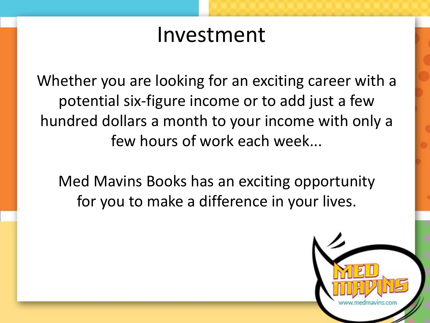### Investment

Whether you are looking for an exciting career with a potential six-figure income or to add just a few hundred dollars a month to your income with only a few hours of work each week...

Med Mavins Books has an exciting opportunity for you to make a difference in your lives.

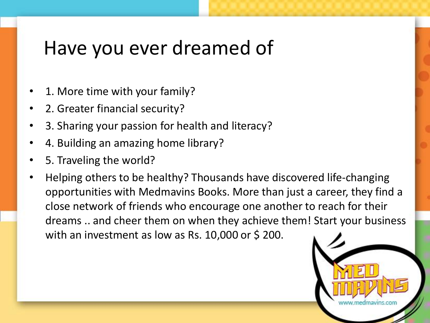## Have you ever dreamed of

- 1. More time with your family?
- 2. Greater financial security?
- 3. Sharing your passion for health and literacy?
- 4. Building an amazing home library?
- 5. Traveling the world?
- Helping others to be healthy? Thousands have discovered life-changing opportunities with Medmavins Books. More than just a career, they find a close network of friends who encourage one another to reach for their dreams .. and cheer them on when they achieve them! Start your business with an investment as low as Rs. 10,000 or  $\frac{2}{5}$  200.

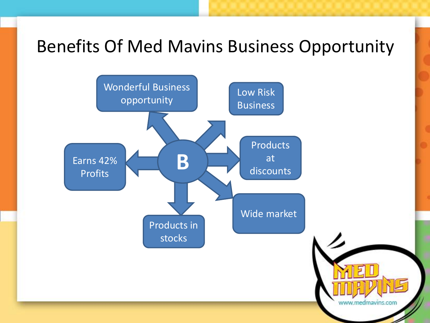#### Benefits Of Med Mavins Business Opportunity

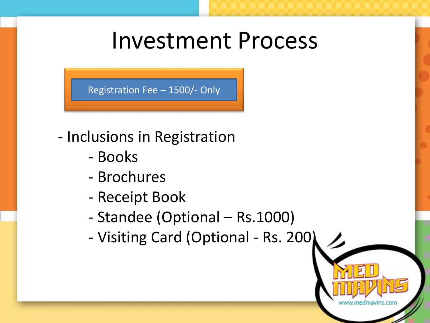## Investment Process

Registration Fee – 1500/- Only

#### - Inclusions in Registration

- Books
- Brochures
- Receipt Book
- Standee (Optional Rs.1000)
- Visiting Card (Optional Rs. 200)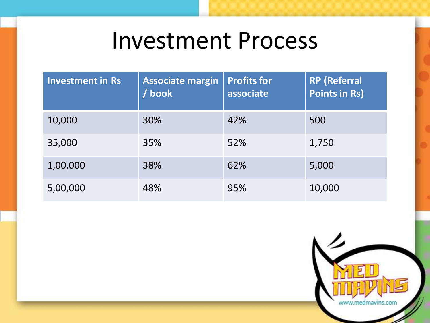## Investment Process

| <b>Investment in Rs</b> | <b>Associate margin</b><br>/ book | <b>Profits for</b><br>associate | <b>RP</b> (Referral<br><b>Points in Rs)</b> |
|-------------------------|-----------------------------------|---------------------------------|---------------------------------------------|
| 10,000                  | 30%                               | 42%                             | 500                                         |
| 35,000                  | 35%                               | 52%                             | 1,750                                       |
| 1,00,000                | 38%                               | 62%                             | 5,000                                       |
| 5,00,000                | 48%                               | 95%                             | 10,000                                      |

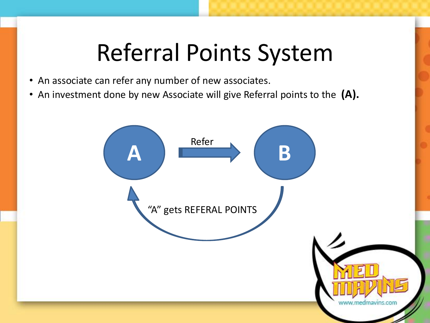## Referral Points System

- An associate can refer any number of new associates.
- An investment done by new Associate will give Referral points to the **(A).**

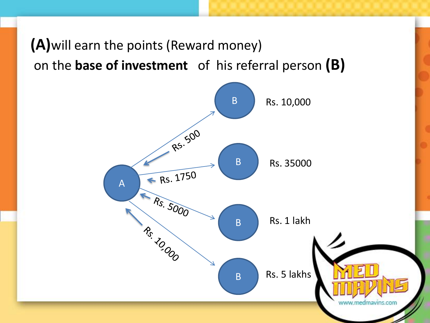**(A)**will earn the points (Reward money) on the **base of investment** of his referral person **(B)**

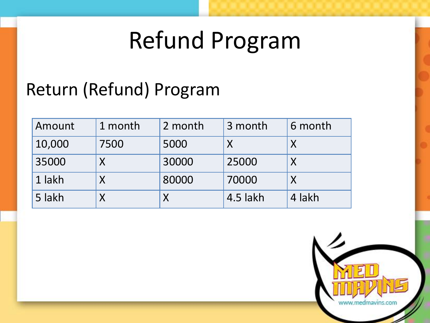## Refund Program

## Return (Refund) Program

| Amount | 1 month | 2 month | 3 month  | 6 month |
|--------|---------|---------|----------|---------|
| 10,000 | 7500    | 5000    |          |         |
| 35000  |         | 30000   | 25000    |         |
| 1 lakh |         | 80000   | 70000    |         |
| 5 lakh |         |         | 4.5 lakh | 4 lakh  |

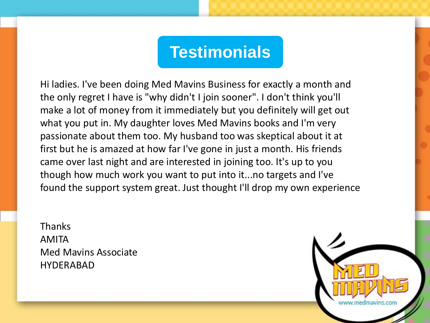#### **Testimonials**

Hi ladies. I've been doing Med Mavins Business for exactly a month and the only regret I have is "why didn't I join sooner". I don't think you'll make a lot of money from it immediately but you definitely will get out what you put in. My daughter loves Med Mavins books and I'm very passionate about them too. My husband too was skeptical about it at first but he is amazed at how far I've gone in just a month. His friends came over last night and are interested in joining too. It's up to you though how much work you want to put into it...no targets and I've found the support system great. Just thought I'll drop my own experience

**Thanks** AMITA Med Mavins Associate HYDERABAD

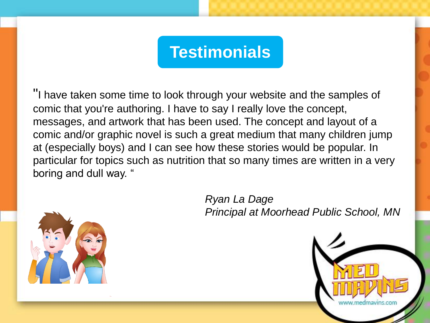#### **Testimonials**

"I have taken some time to look through your website and the samples of comic that you're authoring. I have to say I really love the concept, messages, and artwork that has been used. The concept and layout of a comic and/or graphic novel is such a great medium that many children jump at (especially boys) and I can see how these stories would be popular. In particular for topics such as nutrition that so many times are written in a very boring and dull way. "



*Ryan La Dage Principal at Moorhead Public School, MN*

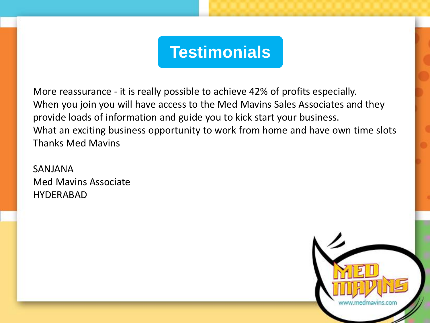#### **Testimonials**

More reassurance - it is really possible to achieve 42% of profits especially. When you join you will have access to the Med Mavins Sales Associates and they provide loads of information and guide you to kick start your business. What an exciting business opportunity to work from home and have own time slots Thanks Med Mavins

SANJANA Med Mavins Associate HYDERABAD